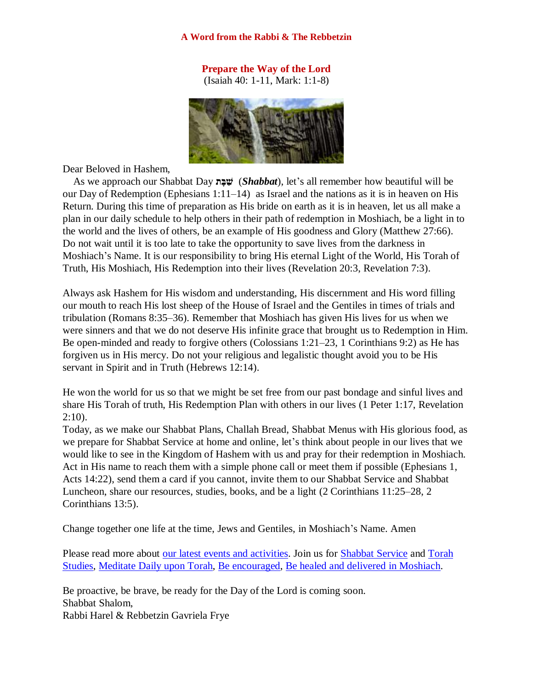#### **A Word from the Rabbi & The Rebbetzin**

# **Prepare the Way of the Lord**

(Isaiah 40: 1-11, Mark: 1:1-8)



Dear Beloved in Hashem,

 As we approach our Shabbat Day **ת ָּב ַׁש**) *Shabbat*), let's all remember how beautiful will be our Day of Redemption (Ephesians  $1:11-14$ ) as Israel and the nations as it is in heaven on His Return. During this time of preparation as His bride on earth as it is in heaven, let us all make a plan in our daily schedule to help others in their path of redemption in Moshiach, be a light in to the world and the lives of others, be an example of His goodness and Glory (Matthew 27:66). Do not wait until it is too late to take the opportunity to save lives from the darkness in Moshiach's Name. It is our responsibility to bring His eternal Light of the World, His Torah of Truth, His Moshiach, His Redemption into their lives (Revelation 20:3, Revelation 7:3).

Always ask Hashem for His wisdom and understanding, His discernment and His word filling our mouth to reach His lost sheep of the House of Israel and the Gentiles in times of trials and tribulation (Romans 8:35–36). Remember that Moshiach has given His lives for us when we were sinners and that we do not deserve His infinite grace that brought us to Redemption in Him. Be open-minded and ready to forgive others (Colossians 1:21–23, 1 Corinthians 9:2) as He has forgiven us in His mercy. Do not your religious and legalistic thought avoid you to be His servant in Spirit and in Truth (Hebrews 12:14).

He won the world for us so that we might be set free from our past bondage and sinful lives and share His Torah of truth, His Redemption Plan with others in our lives (1 Peter 1:17, Revelation 2:10).

Today, as we make our Shabbat Plans, Challah Bread, Shabbat Menus with His glorious food, as we prepare for Shabbat Service at home and online, let's think about people in our lives that we would like to see in the Kingdom of Hashem with us and pray for their redemption in Moshiach. Act in His name to reach them with a simple phone call or meet them if possible (Ephesians 1, Acts 14:22), send them a card if you cannot, invite them to our Shabbat Service and Shabbat Luncheon, share our resources, studies, books, and be a light (2 Corinthians 11:25–28, 2 Corinthians 13:5).

Change together one life at the time, Jews and Gentiles, in Moshiach's Name. Amen

Please read more about [our latest events and activities.](https://villageofhopejusticeministry.org/events-eventi/) Join us for **Shabbat Service** and Torah [Studies,](https://villageofhopejusticeministry.org/italian-messianic-bible-institute-istituto-messianico-biblico-italiano/) [Meditate Daily upon Torah,](https://machasehsheltikvah.org/post.php?post_id=40) [Be encouraged,](https://machasehsheltikvah.org/post.php?post_id=60) [Be healed and delivered in Moshiach.](https://machasehsheltikvah.org/post.php?post_id=61)

Be proactive, be brave, be ready for the Day of the Lord is coming soon. Shabbat Shalom, Rabbi Harel & Rebbetzin Gavriela Frye